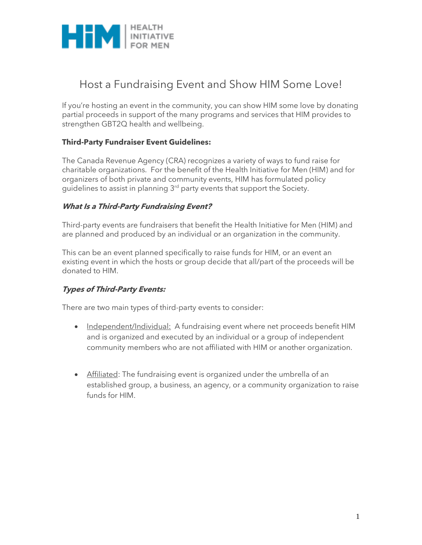

# Host a Fundraising Event and Show HIM Some Love!

If you're hosting an event in the community, you can show HIM some love by donating partial proceeds in support of the many programs and services that HIM provides to strengthen GBT2Q health and wellbeing.

## **Third-Party Fundraiser Event Guidelines:**

The Canada Revenue Agency (CRA) recognizes a variety of ways to fund raise for charitable organizations. For the benefit of the Health Initiative for Men (HIM) and for organizers of both private and community events, HIM has formulated policy guidelines to assist in planning 3<sup>rd</sup> party events that support the Society.

### **What Is a Third-Party Fundraising Event?**

Third-party events are fundraisers that benefit the Health Initiative for Men (HIM) and are planned and produced by an individual or an organization in the community.

This can be an event planned specifically to raise funds for HIM, or an event an existing event in which the hosts or group decide that all/part of the proceeds will be donated to HIM.

### **Types of Third-Party Events:**

There are two main types of third-party events to consider:

- Independent/Individual: A fundraising event where net proceeds benefit HIM and is organized and executed by an individual or a group of independent community members who are not affiliated with HIM or another organization.
- Affiliated: The fundraising event is organized under the umbrella of an established group, a business, an agency, or a community organization to raise funds for HIM.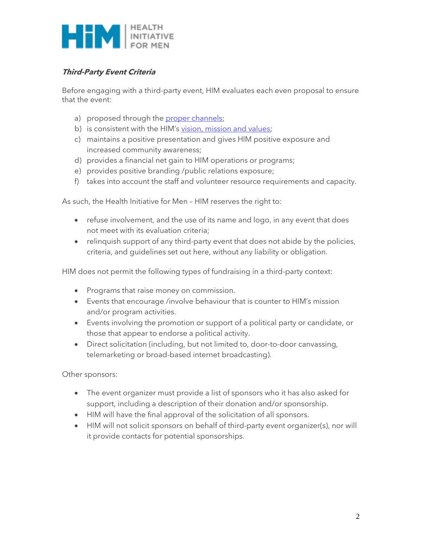

# **Third-Party Event Criteria**

Before engaging with a third-party event, HIM evaluates each even proposal to ensure that the event:

- a) proposed through the proper [channels;](https://forms.office.com/Pages/ResponsePage.aspx?id=h_8_KKm4tEGQ8U6d1knkZvsZaJREmxVAhXu_8WjPbXNUNkpTNk8zSUk4M1FBRENXNjJSVFY5TFlNUi4u)
- b) is consistent with the HIM's [vision, mission and values;](https://checkhimout.ca/about-him/#vision)
- c) maintains a positive presentation and gives HIM positive exposure and increased community awareness;
- d) provides a financial net gain to HIM operations or programs;
- e) provides positive branding /public relations exposure;
- f) takes into account the staff and volunteer resource requirements and capacity.

As such, the Health Initiative for Men – HIM reserves the right to:

- refuse involvement, and the use of its name and logo, in any event that does not meet with its evaluation criteria;
- relinquish support of any third-party event that does not abide by the policies, criteria, and guidelines set out here, without any liability or obligation.

HIM does not permit the following types of fundraising in a third-party context:

- Programs that raise money on commission.
- Events that encourage /involve behaviour that is counter to HIM's mission and/or program activities.
- Events involving the promotion or support of a political party or candidate, or those that appear to endorse a political activity.
- Direct solicitation (including, but not limited to, door-to-door canvassing, telemarketing or broad-based internet broadcasting).

Other sponsors:

- The event organizer must provide a list of sponsors who it has also asked for support, including a description of their donation and/or sponsorship.
- HIM will have the final approval of the solicitation of all sponsors.
- HIM will not solicit sponsors on behalf of third-party event organizer(s), nor will it provide contacts for potential sponsorships.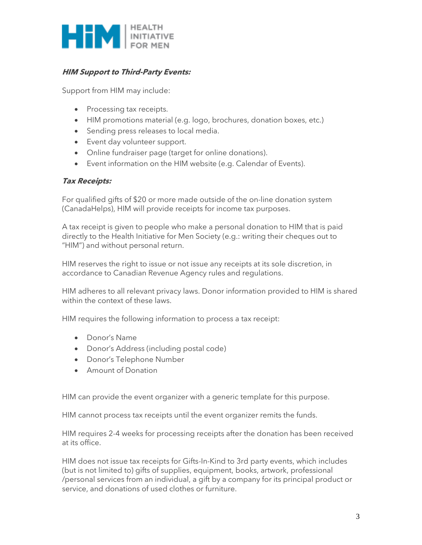

## **HIM Support to Third-Party Events:**

Support from HIM may include:

- Processing tax receipts.
- HIM promotions material (e.g. logo, brochures, donation boxes, etc.)
- Sending press releases to local media.
- Event day volunteer support.
- Online fundraiser page (target for online donations).
- Event information on the HIM website (e.g. Calendar of Events).

### **Tax Receipts:**

For qualified gifts of \$20 or more made outside of the on-line donation system (CanadaHelps), HIM will provide receipts for income tax purposes.

A tax receipt is given to people who make a personal donation to HIM that is paid directly to the Health Initiative for Men Society (e.g.: writing their cheques out to "HIM") and without personal return.

HIM reserves the right to issue or not issue any receipts at its sole discretion, in accordance to Canadian Revenue Agency rules and regulations.

HIM adheres to all relevant privacy laws. Donor information provided to HIM is shared within the context of these laws.

HIM requires the following information to process a tax receipt:

- Donor's Name
- Donor's Address (including postal code)
- Donor's Telephone Number
- Amount of Donation

HIM can provide the event organizer with a generic template for this purpose.

HIM cannot process tax receipts until the event organizer remits the funds.

HIM requires 2-4 weeks for processing receipts after the donation has been received at its office.

HIM does not issue tax receipts for Gifts-In-Kind to 3rd party events, which includes (but is not limited to) gifts of supplies, equipment, books, artwork, professional /personal services from an individual, a gift by a company for its principal product or service, and donations of used clothes or furniture.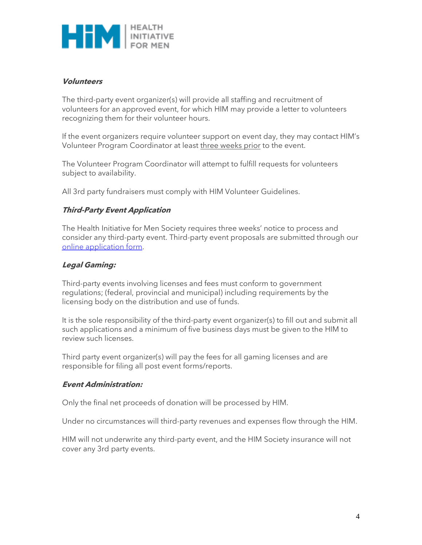

## **Volunteers**

The third-party event organizer(s) will provide all staffing and recruitment of volunteers for an approved event, for which HIM may provide a letter to volunteers recognizing them for their volunteer hours.

If the event organizers require volunteer support on event day, they may contact HIM's Volunteer Program Coordinator at least three weeks prior to the event.

The Volunteer Program Coordinator will attempt to fulfill requests for volunteers subject to availability.

All 3rd party fundraisers must comply with HIM Volunteer Guidelines.

# **Third-Party Event Application**

The Health Initiative for Men Society requires three weeks' notice to process and consider any third-party event. Third-party event proposals are submitted through our online [application](https://forms.office.com/Pages/ResponsePage.aspx?id=h_8_KKm4tEGQ8U6d1knkZvsZaJREmxVAhXu_8WjPbXNUNkpTNk8zSUk4M1FBRENXNjJSVFY5TFlNUi4u) form.

# **Legal Gaming:**

Third-party events involving licenses and fees must conform to government regulations; (federal, provincial and municipal) including requirements by the licensing body on the distribution and use of funds.

It is the sole responsibility of the third-party event organizer(s) to fill out and submit all such applications and a minimum of five business days must be given to the HIM to review such licenses.

Third party event organizer(s) will pay the fees for all gaming licenses and are responsible for filing all post event forms/reports.

## **Event Administration:**

Only the final net proceeds of donation will be processed by HIM.

Under no circumstances will third-party revenues and expenses flow through the HIM.

HIM will not underwrite any third-party event, and the HIM Society insurance will not cover any 3rd party events.